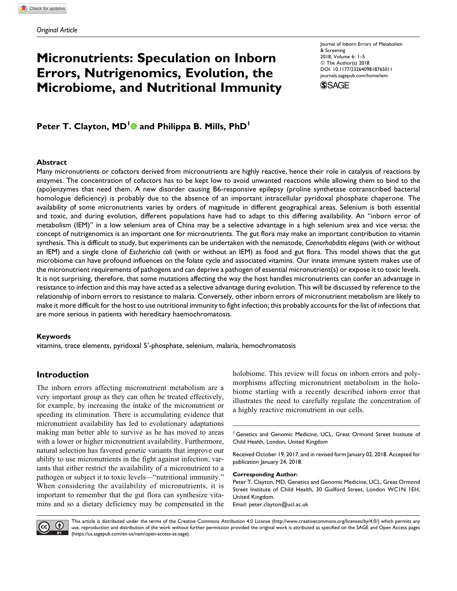# Micronutrients: Speculation on Inborn Errors, Nutrigenomics, Evolution, the Microbiome, and Nutritional Immunity

Journal of Inborn Errors of Metabolism & Screening 2018, Volume 6: 1–5 © The Author(s) 2018 [DOI: 10.1177/2326409818765011](https://doi.org/10.1177/2326409818765011) [journals.sagepub.com/home/iem](http://journals.sagepub.com/home/iem)



Peter T. Clayton, MD<sup>[1](http://orcid.org/0000-0001-7592-4302)</sup> and Philippa B. Mills, PhD<sup>1</sup>

#### Abstract

Many micronutrients or cofactors derived from micronutrients are highly reactive, hence their role in catalysis of reactions by enzymes. The concentration of cofactors has to be kept low to avoid unwanted reactions while allowing them to bind to the (apo)enzymes that need them. A new disorder causing B6-responsive epilepsy (proline synthetase cotranscribed bacterial homologue deficiency) is probably due to the absence of an important intracellular pyridoxal phosphate chaperone. The availability of some micronutrients varies by orders of magnitude in different geographical areas. Selenium is both essential and toxic, and during evolution, different populations have had to adapt to this differing availability. An "inborn error of metabolism (IEM)" in a low selenium area of China may be a selective advantage in a high selenium area and vice versa; the concept of nutrigenomics is an important one for micronutrients. The gut flora may make an important contribution to vitamin synthesis. This is difficult to study, but experiments can be undertaken with the nematode, Caenorhabditis elegans (with or without an IEM) and a single clone of Escherichia coli (with or without an IEM) as food and gut flora. This model shows that the gut microbiome can have profound influences on the folate cycle and associated vitamins. Our innate immune system makes use of the micronutrient requirements of pathogens and can deprive a pathogen of essential micronutrient(s) or expose it to toxic levels. It is not surprising, therefore, that some mutations affecting the way the host handles micronutrients can confer an advantage in resistance to infection and this may have acted as a selective advantage during evolution. This will be discussed by reference to the relationship of inborn errors to resistance to malaria. Conversely, other inborn errors of micronutrient metabolism are likely to make it more difficult for the host to use nutritional immunity to fight infection; this probably accounts for the list of infections that are more serious in patients with hereditary haemochromatosis.

#### Keywords

vitamins, trace elements, pyridoxal 5'-phosphate, selenium, malaria, hemochromatosis

### Introduction

The inborn errors affecting micronutrient metabolism are a very important group as they can often be treated effectively, for example, by increasing the intake of the micronutrient or speeding its elimination. There is accumulating evidence that micronutrient availability has led to evolutionary adaptations making man better able to survive as he has moved to areas with a lower or higher micronutrient availability. Furthermore, natural selection has favored genetic variants that improve our ability to use micronutrients in the fight against infection, variants that either restrict the availability of a micronutrient to a pathogen or subject it to toxic levels—"nutritional immunity." When considering the availability of micronutrients, it is important to remember that the gut flora can synthesize vitamins and so a dietary deficiency may be compensated in the

holobiome. This review will focus on inborn errors and polymorphisms affecting micronutrient metabolism in the holobiome starting with a recently described inborn error that illustrates the need to carefully regulate the concentration of a highly reactive micronutrient in our cells.

<sup>1</sup> Genetics and Genomic Medicine, UCL, Great Ormond Street Institute of Child Health, London, United Kingdom

Received October 19, 2017, and in revised form January 02, 2018. Accepted for publication January 24, 2018.

Corresponding Author:

Peter T. Clayton, MD, Genetics and Genomic Medicine, UCL, Great Ormond Street Institute of Child Health, 30 Guilford Street, London WC1N 1EH, United Kingdom.

Email: [peter.clayton@ucl.ac.uk](mailto:peter.clayton@ucl.ac.uk)



This article is distributed under the terms of the Creative Commons Attribution 4.0 License (<http://www.creativecommons.org/licenses/by/4.0/>) which permits any use, reproduction and distribution of the work without further permission provided the original work is attributed as specified on the SAGE and Open Access pages [\(https://us.sagepub.com/en-us/nam/open-access-at-sage\)](https://us.sagepub.com/en-us/nam/open-access-at-sage).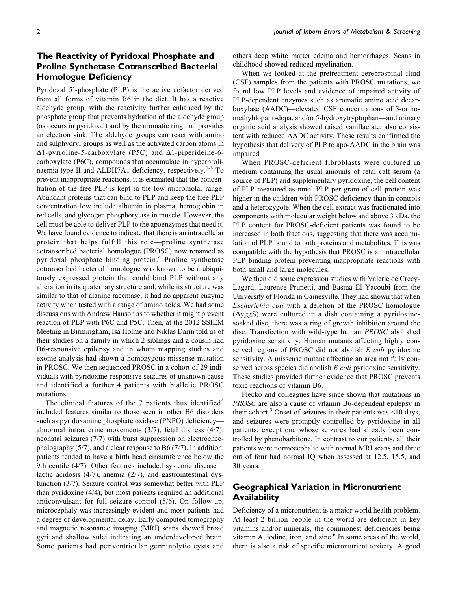# The Reactivity of Pyridoxal Phosphate and Proline Synthetase Cotranscribed Bacterial Homologue Deficiency

Pyridoxal 5'-phosphate (PLP) is the active cofactor derived from all forms of vitamin B6 in the diet. It has a reactive aldehyde group, with the reactivity further enhanced by the phosphate group that prevents hydration of the aldehyde group (as occurs in pyridoxal) and by the aromatic ring that provides an electron sink. The aldehyde groups can react with amino and sulphydryl groups as well as the activated carbon atoms in  $\Delta$ 1-pyrroline-5-carboxylate (P5C) and  $\Delta$ 1-piperideine-6carboxylate (P6C), compounds that accumulate in hyperprolinaemia type II and ALDH7A1 deficiency, respectively.<sup>1-3</sup> To prevent inappropriate reactions, it is estimated that the concentration of the free PLP is kept in the low micromolar range. Abundant proteins that can bind to PLP and keep the free PLP concentration low include albumin in plasma, hemoglobin in red cells, and glycogen phosphorylase in muscle. However, the cell must be able to deliver PLP to the apoenzymes that need it. We have found evidence to indicate that there is an intracellular protein that helps fulfill this role—proline synthetase cotranscribed bacterial homologue (PROSC) now renamed as pyridoxal phosphate binding protein.<sup>4</sup> Proline synthetase cotranscribed bacterial homologue was known to be a ubiquitously expressed protein that could bind PLP without any alteration in its quaternary structure and, while its structure was similar to that of alanine racemase, it had no apparent enzyme activity when tested with a range of amino acids. We had some discussions with Andrew Hanson as to whether it might prevent reaction of PLP with P6C and P5C. Then, at the 2012 SSIEM Meeting in Birmingham, Isa Holme and Niklas Darin told us of their studies on a family in which 2 siblings and a cousin had B6-responsive epilepsy and in whom mapping studies and exome analysis had shown a homozygous missense mutation in PROSC. We then sequenced PROSC in a cohort of 29 individuals with pyridoxine-responsive seizures of unknown cause and identified a further 4 patients with biallelic PROSC mutations.

The clinical features of the 7 patients thus identified<sup>4</sup> included features similar to those seen in other B6 disorders such as pyridoxamine phosphate oxidase (PNPO) deficiency abnormal intrauterine movements (3/7), fetal distress (4/7), neonatal seizures (7/7) with burst suppression on electroencephalography (5/7), and a clear response to B6 (7/7). In addition, patients tended to have a birth head circumference below the 9th centile (4/7). Other features included systemic disease lactic acidosis (4/7), anemia (2/7), and gastrointestinal dysfunction (3/7). Seizure control was somewhat better with PLP than pyridoxine (4/4), but most patients required an additional anticonvulsant for full seizure control (5/6). On follow-up, microcephaly was increasingly evident and most patients had a degree of developmental delay. Early computed tomography and magnetic resonance imaging (MRI) scans showed broad gyri and shallow sulci indicating an underdeveloped brain. Some patients had periventricular germinolytic cysts and others deep white matter edema and hemorrhages. Scans in childhood showed reduced myelination.

When we looked at the pretreatment cerebrospinal fluid (CSF) samples from the patients with PROSC mutations, we found low PLP levels and evidence of impaired activity of PLP-dependent enzymes such as aromatic amino acid decarboxylase (AADC)—elevated CSF concentrations of 3-orthomethyldopa, L-dopa, and/or 5-hydroxytryptophan—and urinary organic acid analysis showed raised vanillactate, also consistent with reduced AADC activity. These results confirmed the hypothesis that delivery of PLP to apo-AADC in the brain was impaired.

When PROSC-deficient fibroblasts were cultured in medium containing the usual amounts of fetal calf serum (a source of PLP) and supplementary pyridoxine, the cell content of PLP measured as nmol PLP per gram of cell protein was higher in the children with PROSC deficiency than in controls and a heterozygote. When the cell extract was fractionated into components with molecular weight below and above 3 kDa, the PLP content for PROSC-deficient patients was found to be increased in both fractions, suggesting that there was accumulation of PLP bound to both proteins and metabolites. This was compatible with the hypothesis that PROSC is an intracellular PLP binding protein preventing inappropriate reactions with both small and large molecules.

We then did some expression studies with Valerie de Crecy-Lagard, Laurence Prunetti, and Basma El Yacoubi from the University of Florida in Gainesville. They had shown that when Escherichia coli with a deletion of the PROSC homologue  $(\Delta yggS)$  were cultured in a dish containing a pyridoxinesoaked disc, there was a ring of growth inhibition around the disc. Transfection with wild-type human PROSC abolished pyridoxine sensitivity. Human mutants affecting highly conserved regions of PROSC did not abolish E coli pyridoxine sensitivity. A missense mutant affecting an area not fully conserved across species did abolish E coli pyridoxine sensitivity. These studies provided further evidence that PROSC prevents toxic reactions of vitamin B6.

Plecko and colleagues have since shown that mutations in PROSC are also a cause of vitamin B6-dependent epilepsy in their cohort.<sup>5</sup> Onset of seizures in their patients was  $\leq 10$  days, and seizures were promptly controlled by pyridoxine in all patients, except one whose seizures had already been controlled by phenobarbitone. In contrast to our patients, all their patients were normocephalic with normal MRI scans and three out of four had normal IQ when assessed at 12.5, 15.5, and 30 years.

### Geographical Variation in Micronutrient Availability

Deficiency of a micronutrient is a major world health problem. At least 2 billion people in the world are deficient in key vitamins and/or minerals, the commonest deficiencies being vitamin A, iodine, iron, and zinc. $<sup>6</sup>$  In some areas of the world,</sup> there is also a risk of specific micronutrient toxicity. A good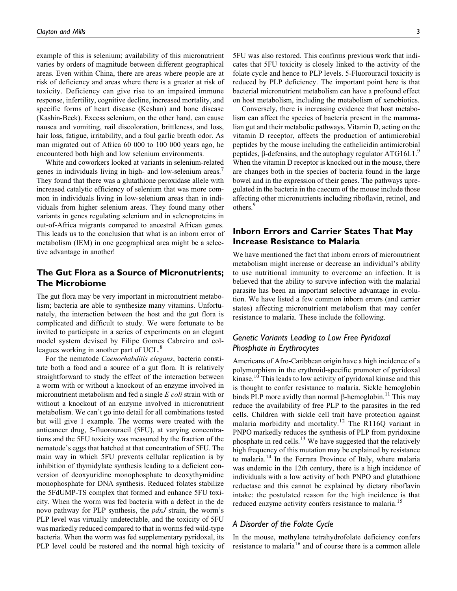example of this is selenium; availability of this micronutrient varies by orders of magnitude between different geographical areas. Even within China, there are areas where people are at risk of deficiency and areas where there is a greater at risk of toxicity. Deficiency can give rise to an impaired immune response, infertility, cognitive decline, increased mortality, and specific forms of heart disease (Keshan) and bone disease (Kashin-Beck). Excess selenium, on the other hand, can cause nausea and vomiting, nail discoloration, brittleness, and loss, hair loss, fatigue, irritability, and a foul garlic breath odor. As man migrated out of Africa 60 000 to 100 000 years ago, he encountered both high and low selenium environments.

White and coworkers looked at variants in selenium-related genes in individuals living in high- and low-selenium areas.<sup>7</sup> They found that there was a glutathione peroxidase allele with increased catalytic efficiency of selenium that was more common in individuals living in low-selenium areas than in individuals from higher selenium areas. They found many other variants in genes regulating selenium and in selenoproteins in out-of-Africa migrants compared to ancestral African genes. This leads us to the conclusion that what is an inborn error of metabolism (IEM) in one geographical area might be a selective advantage in another!

### The Gut Flora as a Source of Micronutrients; The Microbiome

The gut flora may be very important in micronutrient metabolism; bacteria are able to synthesize many vitamins. Unfortunately, the interaction between the host and the gut flora is complicated and difficult to study. We were fortunate to be invited to participate in a series of experiments on an elegant model system devised by Filipe Gomes Cabreiro and colleagues working in another part of UCL.<sup>8</sup>

For the nematode Caenorhabditis elegans, bacteria constitute both a food and a source of a gut flora. It is relatively straightforward to study the effect of the interaction between a worm with or without a knockout of an enzyme involved in micronutrient metabolism and fed a single E coli strain with or without a knockout of an enzyme involved in micronutrient metabolism. We can't go into detail for all combinations tested but will give 1 example. The worms were treated with the anticancer drug, 5-fluorouracil (5FU), at varying concentrations and the 5FU toxicity was measured by the fraction of the nematode's eggs that hatched at that concentration of 5FU. The main way in which 5FU prevents cellular replication is by inhibition of thymidylate synthesis leading to a deficient conversion of deoxyuridine monophosphate to deoxythymidine monophosphate for DNA synthesis. Reduced folates stabilize the 5FdUMP-TS complex that formed and enhance 5FU toxicity. When the worm was fed bacteria with a defect in the de novo pathway for PLP synthesis, the *pdxJ* strain, the worm's PLP level was virtually undetectable, and the toxicity of 5FU was markedly reduced compared to that in worms fed wild-type bacteria. When the worm was fed supplementary pyridoxal, its PLP level could be restored and the normal high toxicity of 5FU was also restored. This confirms previous work that indicates that 5FU toxicity is closely linked to the activity of the folate cycle and hence to PLP levels. 5-Fluorouracil toxicity is reduced by PLP deficiency. The important point here is that bacterial micronutrient metabolism can have a profound effect on host metabolism, including the metabolism of xenobiotics.

Conversely, there is increasing evidence that host metabolism can affect the species of bacteria present in the mammalian gut and their metabolic pathways. Vitamin D, acting on the vitamin D receptor, affects the production of antimicrobial peptides by the mouse including the cathelicidin antimicrobial peptides,  $\beta$ -defensins, and the autophagy regulator ATG16L1.<sup>9</sup> When the vitamin D receptor is knocked out in the mouse, there are changes both in the species of bacteria found in the large bowel and in the expression of their genes. The pathways upregulated in the bacteria in the caecum of the mouse include those affecting other micronutrients including riboflavin, retinol, and others.<sup>9</sup>

# Inborn Errors and Carrier States That May Increase Resistance to Malaria

We have mentioned the fact that inborn errors of micronutrient metabolism might increase or decrease an individual's ability to use nutritional immunity to overcome an infection. It is believed that the ability to survive infection with the malarial parasite has been an important selective advantage in evolution. We have listed a few common inborn errors (and carrier states) affecting micronutrient metabolism that may confer resistance to malaria. These include the following.

# Genetic Variants Leading to Low Free Pyridoxal Phosphate in Erythrocytes

Americans of Afro-Caribbean origin have a high incidence of a polymorphism in the erythroid-specific promoter of pyridoxal kinase.<sup>10</sup> This leads to low activity of pyridoxal kinase and this is thought to confer resistance to malaria. Sickle hemoglobin binds PLP more avidly than normal  $\beta$ -hemoglobin.<sup>11</sup> This may reduce the availability of free PLP to the parasites in the red cells. Children with sickle cell trait have protection against malaria morbidity and mortality.<sup>12</sup> The R116Q variant in PNPO markedly reduces the synthesis of PLP from pyridoxine phosphate in red cells.<sup>13</sup> We have suggested that the relatively high frequency of this mutation may be explained by resistance to malaria.<sup>14</sup> In the Ferrara Province of Italy, where malaria was endemic in the 12th century, there is a high incidence of individuals with a low activity of both PNPO and glutathione reductase and this cannot be explained by dietary riboflavin intake: the postulated reason for the high incidence is that reduced enzyme activity confers resistance to malaria.<sup>15</sup>

#### A Disorder of the Folate Cycle

In the mouse, methylene tetrahydrofolate deficiency confers resistance to malaria<sup>16</sup> and of course there is a common allele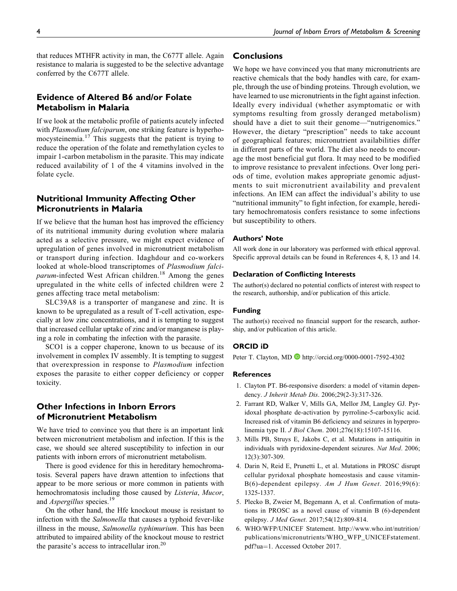that reduces MTHFR activity in man, the C677T allele. Again resistance to malaria is suggested to be the selective advantage conferred by the C677T allele.

### Evidence of Altered B6 and/or Folate Metabolism in Malaria

If we look at the metabolic profile of patients acutely infected with Plasmodium falciparum, one striking feature is hyperhomocysteinemia. $17$  This suggests that the patient is trying to reduce the operation of the folate and remethylation cycles to impair 1-carbon metabolism in the parasite. This may indicate reduced availability of 1 of the 4 vitamins involved in the folate cycle.

### Nutritional Immunity Affecting Other Micronutrients in Malaria

If we believe that the human host has improved the efficiency of its nutritional immunity during evolution where malaria acted as a selective pressure, we might expect evidence of upregulation of genes involved in micronutrient metabolism or transport during infection. Idaghdour and co-workers looked at whole-blood transcriptomes of Plasmodium falciparum-infected West African children.<sup>18</sup> Among the genes upregulated in the white cells of infected children were 2 genes affecting trace metal metabolism:

SLC39A8 is a transporter of manganese and zinc. It is known to be upregulated as a result of T-cell activation, especially at low zinc concentrations, and it is tempting to suggest that increased cellular uptake of zinc and/or manganese is playing a role in combating the infection with the parasite.

SCO1 is a copper chaperone, known to us because of its involvement in complex IV assembly. It is tempting to suggest that overexpression in response to Plasmodium infection exposes the parasite to either copper deficiency or copper toxicity.

### Other Infections in Inborn Errors of Micronutrient Metabolism

We have tried to convince you that there is an important link between micronutrient metabolism and infection. If this is the case, we should see altered susceptibility to infection in our patients with inborn errors of micronutrient metabolism.

There is good evidence for this in hereditary hemochromatosis. Several papers have drawn attention to infections that appear to be more serious or more common in patients with hemochromatosis including those caused by Listeria, Mucor, and *Aspergillus* species.<sup>19</sup>

On the other hand, the Hfe knockout mouse is resistant to infection with the Salmonella that causes a typhoid fever-like illness in the mouse, Salmonella typhimurium. This has been attributed to impaired ability of the knockout mouse to restrict the parasite's access to intracellular iron.<sup>20</sup>

#### **Conclusions**

We hope we have convinced you that many micronutrients are reactive chemicals that the body handles with care, for example, through the use of binding proteins. Through evolution, we have learned to use micronutrients in the fight against infection. Ideally every individual (whether asymptomatic or with symptoms resulting from grossly deranged metabolism) should have a diet to suit their genome—"nutrigenomics." However, the dietary "prescription" needs to take account of geographical features; micronutrient availabilities differ in different parts of the world. The diet also needs to encourage the most beneficial gut flora. It may need to be modified to improve resistance to prevalent infections. Over long periods of time, evolution makes appropriate genomic adjustments to suit micronutrient availability and prevalent infections. An IEM can affect the individual's ability to use "nutritional immunity" to fight infection, for example, hereditary hemochromatosis confers resistance to some infections but susceptibility to others.

#### Authors' Note

All work done in our laboratory was performed with ethical approval. Specific approval details can be found in References 4, 8, 13 and 14.

#### Declaration of Conflicting Interests

The author(s) declared no potential conflicts of interest with respect to the research, authorship, and/or publication of this article.

#### Funding

The author(s) received no financial support for the research, authorship, and/or publication of this article.

#### ORCID iD

Peter T. Clayton, MD **b** <http://orcid.org/0000-0001-7592-4302>

#### **References**

- 1. Clayton PT. B6-responsive disorders: a model of vitamin dependency. J Inherit Metab Dis. 2006;29(2-3):317-326.
- 2. Farrant RD, Walker V, Mills GA, Mellor JM, Langley GJ. Pyridoxal phosphate de-activation by pyrroline-5-carboxylic acid. Increased risk of vitamin B6 deficiency and seizures in hyperprolinemia type II. J Biol Chem. 2001;276(18):15107-15116.
- 3. Mills PB, Struys E, Jakobs C, et al. Mutations in antiquitin in individuals with pyridoxine-dependent seizures. Nat Med. 2006; 12(3):307-309.
- 4. Darin N, Reid E, Prunetti L, et al. Mutations in PROSC disrupt cellular pyridoxal phosphate homeostasis and cause vitamin-B(6)-dependent epilepsy. Am J Hum Genet. 2016;99(6): 1325-1337.
- 5. Plecko B, Zweier M, Begemann A, et al. Confirmation of mutations in PROSC as a novel cause of vitamin B (6)-dependent epilepsy. J Med Genet. 2017;54(12):809-814.
- 6. WHO/WFP/UNICEF Statement. [http://www.who.int/nutrition/](http://www.who.int/nutrition/publications/micronutrients/WHO_WFP_UNICEFstatement.pdf?ua=1) [publications/micronutrients/WHO\\_WFP\\_UNICEFstatement.](http://www.who.int/nutrition/publications/micronutrients/WHO_WFP_UNICEFstatement.pdf?ua=1) [pdf?ua](http://www.who.int/nutrition/publications/micronutrients/WHO_WFP_UNICEFstatement.pdf?ua=1)=[1.](http://www.who.int/nutrition/publications/micronutrients/WHO_WFP_UNICEFstatement.pdf?ua=1) Accessed October 2017.